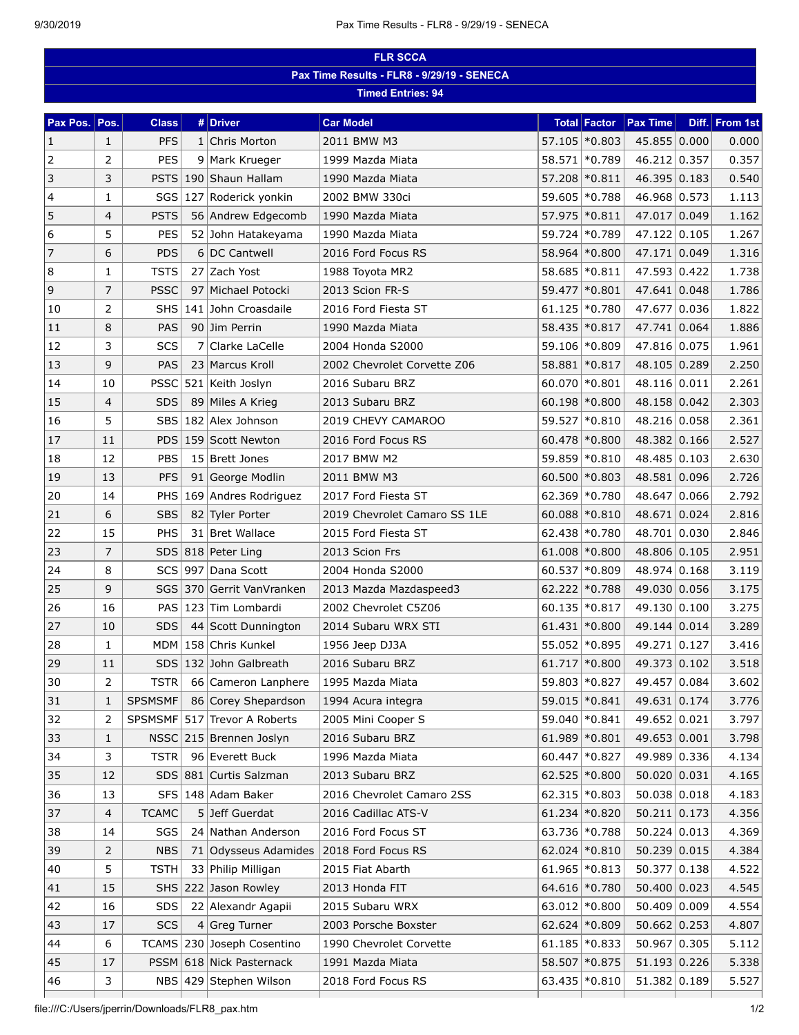| Pax Time Results - FLR8 - 9/29/19 - SENECA<br><b>Timed Entries: 94</b><br><b>Car Model</b><br>Pax Pos.<br>Pos.<br># Driver<br><b>Total Factor</b><br><b>Pax Time</b><br>Diff. From 1st<br><b>Class</b><br>57.105 \* 0.803<br>45.855 0.000<br><b>PFS</b><br>Chris Morton<br>2011 BMW M3<br>$\mathbf{1}$<br>$\mathbf{1}$<br>1<br>2<br>PES<br>46.212 0.357<br>2<br>9 Mark Krueger<br>1999 Mazda Miata<br>58.571 \*0.789<br>3<br>3<br>46.395 0.183<br>PSTS<br>190 Shaun Hallam<br>57.208 \* 0.811<br>1990 Mazda Miata<br>46.968 0.573<br>4<br>$\mathbf{1}$<br>SGS<br>127 Roderick yonkin<br>2002 BMW 330ci<br>59.605 * 0.788<br>5<br>47.017 0.049<br>$\overline{4}$<br>56 Andrew Edgecomb<br>57.975 * 0.811<br><b>PSTS</b><br>1990 Mazda Miata<br>6<br>5<br>59.724 * 0.789<br>47.122 0.105<br><b>PES</b><br>52 John Hatakeyama<br>1990 Mazda Miata<br>$\overline{7}$<br>47.171 0.049<br>6<br><b>PDS</b><br>6 DC Cantwell<br>2016 Ford Focus RS<br>58.964 * 0.800<br>8<br>47.593 0.422<br>$\mathbf{1}$<br><b>TSTS</b><br>27 Zach Yost<br>58.685 * 0.811<br>1988 Toyota MR2<br>$\mathsf 9$<br>$\overline{7}$<br>47.641 0.048<br><b>PSSC</b><br>97 Michael Potocki<br>2013 Scion FR-S<br>59.477 * 0.801<br>$61.125$ *0.780<br>47.677 0.036<br>2<br>141 John Croasdaile<br>2016 Ford Fiesta ST<br>10<br>SHS <br>8<br>47.741 0.064<br>11<br>PAS<br>90 Jim Perrin<br>58.435 \* 0.817<br>1990 Mazda Miata<br>3<br>SCS<br>59.106 \* 0.809<br>47.816 0.075<br>12<br>7<br>Clarke LaCelle<br>2004 Honda S2000<br>9<br>48.105 0.289<br>13<br><b>PAS</b><br>23 Marcus Kroll<br>2002 Chevrolet Corvette Z06<br>58.881 * 0.817<br>521 Keith Joslyn<br>60.070 \*0.801<br>48.116 0.011<br>14<br><b>PSSC</b><br>2016 Subaru BRZ<br>10<br>$60.198$ * 0.800<br>48.158 0.042<br>15<br>$\overline{4}$<br><b>SDS</b><br>89 Miles A Krieg<br>2013 Subaru BRZ |       |  |  |  |  |  |
|----------------------------------------------------------------------------------------------------------------------------------------------------------------------------------------------------------------------------------------------------------------------------------------------------------------------------------------------------------------------------------------------------------------------------------------------------------------------------------------------------------------------------------------------------------------------------------------------------------------------------------------------------------------------------------------------------------------------------------------------------------------------------------------------------------------------------------------------------------------------------------------------------------------------------------------------------------------------------------------------------------------------------------------------------------------------------------------------------------------------------------------------------------------------------------------------------------------------------------------------------------------------------------------------------------------------------------------------------------------------------------------------------------------------------------------------------------------------------------------------------------------------------------------------------------------------------------------------------------------------------------------------------------------------------------------------------------------------------------------------------------------------------------------------------------------------------------|-------|--|--|--|--|--|
|                                                                                                                                                                                                                                                                                                                                                                                                                                                                                                                                                                                                                                                                                                                                                                                                                                                                                                                                                                                                                                                                                                                                                                                                                                                                                                                                                                                                                                                                                                                                                                                                                                                                                                                                                                                                                                  |       |  |  |  |  |  |
|                                                                                                                                                                                                                                                                                                                                                                                                                                                                                                                                                                                                                                                                                                                                                                                                                                                                                                                                                                                                                                                                                                                                                                                                                                                                                                                                                                                                                                                                                                                                                                                                                                                                                                                                                                                                                                  |       |  |  |  |  |  |
|                                                                                                                                                                                                                                                                                                                                                                                                                                                                                                                                                                                                                                                                                                                                                                                                                                                                                                                                                                                                                                                                                                                                                                                                                                                                                                                                                                                                                                                                                                                                                                                                                                                                                                                                                                                                                                  |       |  |  |  |  |  |
|                                                                                                                                                                                                                                                                                                                                                                                                                                                                                                                                                                                                                                                                                                                                                                                                                                                                                                                                                                                                                                                                                                                                                                                                                                                                                                                                                                                                                                                                                                                                                                                                                                                                                                                                                                                                                                  | 0.000 |  |  |  |  |  |
|                                                                                                                                                                                                                                                                                                                                                                                                                                                                                                                                                                                                                                                                                                                                                                                                                                                                                                                                                                                                                                                                                                                                                                                                                                                                                                                                                                                                                                                                                                                                                                                                                                                                                                                                                                                                                                  | 0.357 |  |  |  |  |  |
|                                                                                                                                                                                                                                                                                                                                                                                                                                                                                                                                                                                                                                                                                                                                                                                                                                                                                                                                                                                                                                                                                                                                                                                                                                                                                                                                                                                                                                                                                                                                                                                                                                                                                                                                                                                                                                  | 0.540 |  |  |  |  |  |
|                                                                                                                                                                                                                                                                                                                                                                                                                                                                                                                                                                                                                                                                                                                                                                                                                                                                                                                                                                                                                                                                                                                                                                                                                                                                                                                                                                                                                                                                                                                                                                                                                                                                                                                                                                                                                                  | 1.113 |  |  |  |  |  |
|                                                                                                                                                                                                                                                                                                                                                                                                                                                                                                                                                                                                                                                                                                                                                                                                                                                                                                                                                                                                                                                                                                                                                                                                                                                                                                                                                                                                                                                                                                                                                                                                                                                                                                                                                                                                                                  | 1.162 |  |  |  |  |  |
|                                                                                                                                                                                                                                                                                                                                                                                                                                                                                                                                                                                                                                                                                                                                                                                                                                                                                                                                                                                                                                                                                                                                                                                                                                                                                                                                                                                                                                                                                                                                                                                                                                                                                                                                                                                                                                  | 1.267 |  |  |  |  |  |
|                                                                                                                                                                                                                                                                                                                                                                                                                                                                                                                                                                                                                                                                                                                                                                                                                                                                                                                                                                                                                                                                                                                                                                                                                                                                                                                                                                                                                                                                                                                                                                                                                                                                                                                                                                                                                                  | 1.316 |  |  |  |  |  |
|                                                                                                                                                                                                                                                                                                                                                                                                                                                                                                                                                                                                                                                                                                                                                                                                                                                                                                                                                                                                                                                                                                                                                                                                                                                                                                                                                                                                                                                                                                                                                                                                                                                                                                                                                                                                                                  | 1.738 |  |  |  |  |  |
|                                                                                                                                                                                                                                                                                                                                                                                                                                                                                                                                                                                                                                                                                                                                                                                                                                                                                                                                                                                                                                                                                                                                                                                                                                                                                                                                                                                                                                                                                                                                                                                                                                                                                                                                                                                                                                  | 1.786 |  |  |  |  |  |
|                                                                                                                                                                                                                                                                                                                                                                                                                                                                                                                                                                                                                                                                                                                                                                                                                                                                                                                                                                                                                                                                                                                                                                                                                                                                                                                                                                                                                                                                                                                                                                                                                                                                                                                                                                                                                                  | 1.822 |  |  |  |  |  |
|                                                                                                                                                                                                                                                                                                                                                                                                                                                                                                                                                                                                                                                                                                                                                                                                                                                                                                                                                                                                                                                                                                                                                                                                                                                                                                                                                                                                                                                                                                                                                                                                                                                                                                                                                                                                                                  | 1.886 |  |  |  |  |  |
|                                                                                                                                                                                                                                                                                                                                                                                                                                                                                                                                                                                                                                                                                                                                                                                                                                                                                                                                                                                                                                                                                                                                                                                                                                                                                                                                                                                                                                                                                                                                                                                                                                                                                                                                                                                                                                  | 1.961 |  |  |  |  |  |
|                                                                                                                                                                                                                                                                                                                                                                                                                                                                                                                                                                                                                                                                                                                                                                                                                                                                                                                                                                                                                                                                                                                                                                                                                                                                                                                                                                                                                                                                                                                                                                                                                                                                                                                                                                                                                                  | 2.250 |  |  |  |  |  |
|                                                                                                                                                                                                                                                                                                                                                                                                                                                                                                                                                                                                                                                                                                                                                                                                                                                                                                                                                                                                                                                                                                                                                                                                                                                                                                                                                                                                                                                                                                                                                                                                                                                                                                                                                                                                                                  | 2.261 |  |  |  |  |  |
|                                                                                                                                                                                                                                                                                                                                                                                                                                                                                                                                                                                                                                                                                                                                                                                                                                                                                                                                                                                                                                                                                                                                                                                                                                                                                                                                                                                                                                                                                                                                                                                                                                                                                                                                                                                                                                  | 2.303 |  |  |  |  |  |
| 5<br>59.527 * 0.810<br>48.216 0.058<br>16<br>SBS <br>182 Alex Johnson<br>2019 CHEVY CAMAROO                                                                                                                                                                                                                                                                                                                                                                                                                                                                                                                                                                                                                                                                                                                                                                                                                                                                                                                                                                                                                                                                                                                                                                                                                                                                                                                                                                                                                                                                                                                                                                                                                                                                                                                                      | 2.361 |  |  |  |  |  |
| 17<br>48.382 0.166<br>11<br>PDS 159 Scott Newton<br>2016 Ford Focus RS<br>$60.478$ *0.800                                                                                                                                                                                                                                                                                                                                                                                                                                                                                                                                                                                                                                                                                                                                                                                                                                                                                                                                                                                                                                                                                                                                                                                                                                                                                                                                                                                                                                                                                                                                                                                                                                                                                                                                        | 2.527 |  |  |  |  |  |
| 12<br>48.485 0.103<br>18<br><b>PBS</b><br>15 Brett Jones<br>2017 BMW M2<br>59.859 * 0.810                                                                                                                                                                                                                                                                                                                                                                                                                                                                                                                                                                                                                                                                                                                                                                                                                                                                                                                                                                                                                                                                                                                                                                                                                                                                                                                                                                                                                                                                                                                                                                                                                                                                                                                                        | 2.630 |  |  |  |  |  |
| 13<br>48.581 0.096<br>19<br><b>PFS</b><br>91 George Modlin<br>2011 BMW M3<br>$60.500$ *0.803                                                                                                                                                                                                                                                                                                                                                                                                                                                                                                                                                                                                                                                                                                                                                                                                                                                                                                                                                                                                                                                                                                                                                                                                                                                                                                                                                                                                                                                                                                                                                                                                                                                                                                                                     | 2.726 |  |  |  |  |  |
| $62.369$ *0.780<br>48.647 0.066<br>20<br>14<br>169 Andres Rodriguez<br>2017 Ford Fiesta ST<br>PHS                                                                                                                                                                                                                                                                                                                                                                                                                                                                                                                                                                                                                                                                                                                                                                                                                                                                                                                                                                                                                                                                                                                                                                                                                                                                                                                                                                                                                                                                                                                                                                                                                                                                                                                                | 2.792 |  |  |  |  |  |
| 21<br>6<br>$60.088$ *0.810<br>48.671 0.024<br><b>SBS</b><br>82 Tyler Porter<br>2019 Chevrolet Camaro SS 1LE                                                                                                                                                                                                                                                                                                                                                                                                                                                                                                                                                                                                                                                                                                                                                                                                                                                                                                                                                                                                                                                                                                                                                                                                                                                                                                                                                                                                                                                                                                                                                                                                                                                                                                                      | 2.816 |  |  |  |  |  |
| 15<br>22<br>PHS<br>2015 Ford Fiesta ST<br>$62.438$ *0.780<br>48.701 0.030<br>31 Bret Wallace                                                                                                                                                                                                                                                                                                                                                                                                                                                                                                                                                                                                                                                                                                                                                                                                                                                                                                                                                                                                                                                                                                                                                                                                                                                                                                                                                                                                                                                                                                                                                                                                                                                                                                                                     | 2.846 |  |  |  |  |  |
| 48.806 0.105<br>$\overline{7}$<br>23<br>SDS 818 Peter Ling<br>2013 Scion Frs<br>$61.008$ *0.800                                                                                                                                                                                                                                                                                                                                                                                                                                                                                                                                                                                                                                                                                                                                                                                                                                                                                                                                                                                                                                                                                                                                                                                                                                                                                                                                                                                                                                                                                                                                                                                                                                                                                                                                  | 2.951 |  |  |  |  |  |
| 8<br>48.974 0.168<br>24<br>SCS<br>997 Dana Scott<br>2004 Honda S2000<br>$60.537$ * 0.809                                                                                                                                                                                                                                                                                                                                                                                                                                                                                                                                                                                                                                                                                                                                                                                                                                                                                                                                                                                                                                                                                                                                                                                                                                                                                                                                                                                                                                                                                                                                                                                                                                                                                                                                         | 3.119 |  |  |  |  |  |
| 9<br>49.030 0.056<br>25<br>SGS 370 Gerrit VanVranken<br>$62.222$ *0.788<br>2013 Mazda Mazdaspeed3                                                                                                                                                                                                                                                                                                                                                                                                                                                                                                                                                                                                                                                                                                                                                                                                                                                                                                                                                                                                                                                                                                                                                                                                                                                                                                                                                                                                                                                                                                                                                                                                                                                                                                                                | 3.175 |  |  |  |  |  |
| 49.130 0.100<br>26<br>16<br>PAS   123   Tim Lombardi<br>$60.135$ * 0.817<br>2002 Chevrolet C5Z06                                                                                                                                                                                                                                                                                                                                                                                                                                                                                                                                                                                                                                                                                                                                                                                                                                                                                                                                                                                                                                                                                                                                                                                                                                                                                                                                                                                                                                                                                                                                                                                                                                                                                                                                 | 3.275 |  |  |  |  |  |
| 27<br>$61.431$ * 0.800<br>49.144 0.014<br>10<br><b>SDS</b><br>44 Scott Dunnington<br>2014 Subaru WRX STI                                                                                                                                                                                                                                                                                                                                                                                                                                                                                                                                                                                                                                                                                                                                                                                                                                                                                                                                                                                                                                                                                                                                                                                                                                                                                                                                                                                                                                                                                                                                                                                                                                                                                                                         | 3.289 |  |  |  |  |  |
| 55.052 * 0.895<br>49.271 0.127<br>28<br>1<br>MDM <br>158 Chris Kunkel<br>1956 Jeep DJ3A                                                                                                                                                                                                                                                                                                                                                                                                                                                                                                                                                                                                                                                                                                                                                                                                                                                                                                                                                                                                                                                                                                                                                                                                                                                                                                                                                                                                                                                                                                                                                                                                                                                                                                                                          | 3.416 |  |  |  |  |  |
| 61.717 * 0.800<br>49.373 0.102<br>29<br>132 John Galbreath<br>11<br>SDS<br>2016 Subaru BRZ                                                                                                                                                                                                                                                                                                                                                                                                                                                                                                                                                                                                                                                                                                                                                                                                                                                                                                                                                                                                                                                                                                                                                                                                                                                                                                                                                                                                                                                                                                                                                                                                                                                                                                                                       | 3.518 |  |  |  |  |  |
| 49.457 0.084<br>2<br><b>TSTR</b><br>1995 Mazda Miata<br>59.803 * 0.827<br>30<br>66 Cameron Lanphere                                                                                                                                                                                                                                                                                                                                                                                                                                                                                                                                                                                                                                                                                                                                                                                                                                                                                                                                                                                                                                                                                                                                                                                                                                                                                                                                                                                                                                                                                                                                                                                                                                                                                                                              | 3.602 |  |  |  |  |  |
| 49.631 0.174<br><b>SPSMSMF</b><br>86 Corey Shepardson<br>1994 Acura integra<br>59.015 \* 0.841<br>31<br>1                                                                                                                                                                                                                                                                                                                                                                                                                                                                                                                                                                                                                                                                                                                                                                                                                                                                                                                                                                                                                                                                                                                                                                                                                                                                                                                                                                                                                                                                                                                                                                                                                                                                                                                        | 3.776 |  |  |  |  |  |
| 49.652 0.021<br>32<br>SPSMSMF<br>517 Trevor A Roberts<br>59.040 \* 0.841<br>2<br>2005 Mini Cooper S                                                                                                                                                                                                                                                                                                                                                                                                                                                                                                                                                                                                                                                                                                                                                                                                                                                                                                                                                                                                                                                                                                                                                                                                                                                                                                                                                                                                                                                                                                                                                                                                                                                                                                                              | 3.797 |  |  |  |  |  |
| 49.653 0.001<br>215 Brennen Joslyn<br>2016 Subaru BRZ<br>$61.989$ * 0.801<br>33<br>$\mathbf{1}$<br><b>NSSC</b>                                                                                                                                                                                                                                                                                                                                                                                                                                                                                                                                                                                                                                                                                                                                                                                                                                                                                                                                                                                                                                                                                                                                                                                                                                                                                                                                                                                                                                                                                                                                                                                                                                                                                                                   | 3.798 |  |  |  |  |  |
| 3<br>49.989 0.336<br>34<br>96 Everett Buck<br>$60.447$ * 0.827<br><b>TSTR</b><br>1996 Mazda Miata                                                                                                                                                                                                                                                                                                                                                                                                                                                                                                                                                                                                                                                                                                                                                                                                                                                                                                                                                                                                                                                                                                                                                                                                                                                                                                                                                                                                                                                                                                                                                                                                                                                                                                                                | 4.134 |  |  |  |  |  |
| $62.525$ * 0.800<br>50.020 0.031<br>35<br>12<br>SDS 881 Curtis Salzman<br>2013 Subaru BRZ                                                                                                                                                                                                                                                                                                                                                                                                                                                                                                                                                                                                                                                                                                                                                                                                                                                                                                                                                                                                                                                                                                                                                                                                                                                                                                                                                                                                                                                                                                                                                                                                                                                                                                                                        | 4.165 |  |  |  |  |  |
| 50.038 0.018<br>36<br>13<br>SFS<br>148 Adam Baker<br>2016 Chevrolet Camaro 2SS<br>$62.315$ * $0.803$                                                                                                                                                                                                                                                                                                                                                                                                                                                                                                                                                                                                                                                                                                                                                                                                                                                                                                                                                                                                                                                                                                                                                                                                                                                                                                                                                                                                                                                                                                                                                                                                                                                                                                                             | 4.183 |  |  |  |  |  |
| 50.211 0.173<br>37<br>4<br><b>TCAMC</b><br>$5$ Jeff Guerdat<br>2016 Cadillac ATS-V<br>$61.234$ * $0.820$                                                                                                                                                                                                                                                                                                                                                                                                                                                                                                                                                                                                                                                                                                                                                                                                                                                                                                                                                                                                                                                                                                                                                                                                                                                                                                                                                                                                                                                                                                                                                                                                                                                                                                                         | 4.356 |  |  |  |  |  |
| 63.736 * 0.788<br>50.224   0.013<br>SGS<br>24 Nathan Anderson<br>2016 Ford Focus ST<br>38<br>14                                                                                                                                                                                                                                                                                                                                                                                                                                                                                                                                                                                                                                                                                                                                                                                                                                                                                                                                                                                                                                                                                                                                                                                                                                                                                                                                                                                                                                                                                                                                                                                                                                                                                                                                  | 4.369 |  |  |  |  |  |
| 50.239 0.015<br>39<br>$\overline{2}$<br>71 Odysseus Adamides<br>2018 Ford Focus RS<br>$62.024$ * $0.810$<br><b>NBS</b>                                                                                                                                                                                                                                                                                                                                                                                                                                                                                                                                                                                                                                                                                                                                                                                                                                                                                                                                                                                                                                                                                                                                                                                                                                                                                                                                                                                                                                                                                                                                                                                                                                                                                                           | 4.384 |  |  |  |  |  |
| 5<br>$61.965$ * $0.813$<br>50.377 0.138<br>40<br><b>TSTH</b><br>33 Philip Milligan<br>2015 Fiat Abarth                                                                                                                                                                                                                                                                                                                                                                                                                                                                                                                                                                                                                                                                                                                                                                                                                                                                                                                                                                                                                                                                                                                                                                                                                                                                                                                                                                                                                                                                                                                                                                                                                                                                                                                           | 4.522 |  |  |  |  |  |
| 50.400 0.023<br>15<br>222 Jason Rowley<br>2013 Honda FIT<br>64.616 \* 0.780<br>41<br>SHS                                                                                                                                                                                                                                                                                                                                                                                                                                                                                                                                                                                                                                                                                                                                                                                                                                                                                                                                                                                                                                                                                                                                                                                                                                                                                                                                                                                                                                                                                                                                                                                                                                                                                                                                         | 4.545 |  |  |  |  |  |
| 50.409 0.009<br>16<br>63.012 \*0.800<br>42<br>SDS<br>22 Alexandr Agapii<br>2015 Subaru WRX                                                                                                                                                                                                                                                                                                                                                                                                                                                                                                                                                                                                                                                                                                                                                                                                                                                                                                                                                                                                                                                                                                                                                                                                                                                                                                                                                                                                                                                                                                                                                                                                                                                                                                                                       | 4.554 |  |  |  |  |  |
| <b>SCS</b><br>$62.624$ * $0.809$<br>$50.662 \mid 0.253$<br>43<br>17<br>Greg Turner<br>2003 Porsche Boxster<br>$\vert 4 \vert$                                                                                                                                                                                                                                                                                                                                                                                                                                                                                                                                                                                                                                                                                                                                                                                                                                                                                                                                                                                                                                                                                                                                                                                                                                                                                                                                                                                                                                                                                                                                                                                                                                                                                                    | 4.807 |  |  |  |  |  |
| 6<br>50.967 0.305<br>44<br>TCAMS 230 Joseph Cosentino<br>1990 Chevrolet Corvette<br>$61.185$ * $0.833$                                                                                                                                                                                                                                                                                                                                                                                                                                                                                                                                                                                                                                                                                                                                                                                                                                                                                                                                                                                                                                                                                                                                                                                                                                                                                                                                                                                                                                                                                                                                                                                                                                                                                                                           | 5.112 |  |  |  |  |  |
| 51.193 0.226<br>45<br>PSSM<br>618 Nick Pasternack<br>58.507 * 0.875<br>17<br>1991 Mazda Miata                                                                                                                                                                                                                                                                                                                                                                                                                                                                                                                                                                                                                                                                                                                                                                                                                                                                                                                                                                                                                                                                                                                                                                                                                                                                                                                                                                                                                                                                                                                                                                                                                                                                                                                                    | 5.338 |  |  |  |  |  |
| 51.382 0.189<br>3<br>2018 Ford Focus RS<br>$63.435$ * 0.810<br>46<br>NBS 429 Stephen Wilson                                                                                                                                                                                                                                                                                                                                                                                                                                                                                                                                                                                                                                                                                                                                                                                                                                                                                                                                                                                                                                                                                                                                                                                                                                                                                                                                                                                                                                                                                                                                                                                                                                                                                                                                      | 5.527 |  |  |  |  |  |